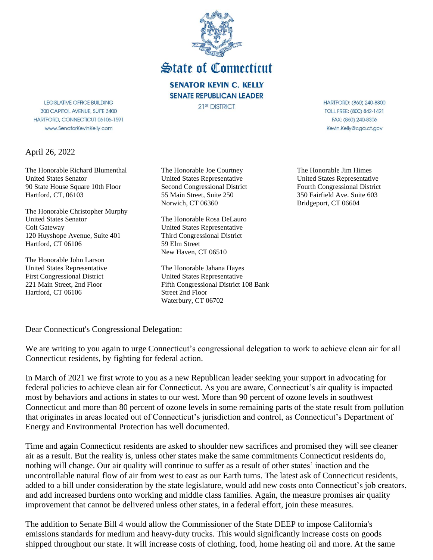

**State of Connecticut** 

**SENATOR KEVIN C. KELLY SENATE REPUBLICAN LEADER** 21<sup>st</sup> DISTRICT

**LEGISLATIVE OFFICE BUILDING** 300 CAPITOL AVENUE, SUITE 3400 HARTFORD, CONNECTICUT 06106-1591 www.SenatorKevinKelly.com

April 26, 2022

The Honorable Richard Blumenthal United States Senator 90 State House Square 10th Floor Hartford, CT, 06103

The Honorable Christopher Murphy United States Senator Colt Gateway 120 Huyshope Avenue, Suite 401 Hartford, CT 06106

The Honorable John Larson United States Representative First Congressional District 221 Main Street, 2nd Floor Hartford, CT 06106

The Honorable Joe Courtney United States Representative Second Congressional District 55 Main Street, Suite 250 Norwich, CT 06360

The Honorable Rosa DeLauro United States Representative Third Congressional District 59 Elm Street New Haven, CT 06510

The Honorable Jahana Hayes United States Representative Fifth Congressional District 108 Bank Street 2nd Floor Waterbury, CT 06702

HARTFORD: (860) 240-8800 TOLL FREE: (800) 842-1421 FAX: (860) 240-8306 Kevin.Kelly@cga.ct.gov

The Honorable Jim Himes United States Representative Fourth Congressional District 350 Fairfield Ave. Suite 603 Bridgeport, CT 06604

Dear Connecticut's Congressional Delegation:

We are writing to you again to urge Connecticut's congressional delegation to work to achieve clean air for all Connecticut residents, by fighting for federal action.

In March of 2021 we first wrote to you as a new Republican leader seeking your support in advocating for federal policies to achieve clean air for Connecticut. As you are aware, Connecticut's air quality is impacted most by behaviors and actions in states to our west. More than 90 percent of ozone levels in southwest Connecticut and more than 80 percent of ozone levels in some remaining parts of the state result from pollution that originates in areas located out of Connecticut's jurisdiction and control, as Connecticut's Department of Energy and Environmental Protection has well documented.

Time and again Connecticut residents are asked to shoulder new sacrifices and promised they will see cleaner air as a result. But the reality is, unless other states make the same commitments Connecticut residents do, nothing will change. Our air quality will continue to suffer as a result of other states' inaction and the uncontrollable natural flow of air from west to east as our Earth turns. The latest ask of Connecticut residents, added to a bill under consideration by the state legislature, would add new costs onto Connecticut's job creators, and add increased burdens onto working and middle class families. Again, the measure promises air quality improvement that cannot be delivered unless other states, in a federal effort, join these measures.

The addition to Senate Bill 4 would allow the Commissioner of the State DEEP to impose California's emissions standards for medium and heavy-duty trucks. This would significantly increase costs on goods shipped throughout our state. It will increase costs of clothing, food, home heating oil and more. At the same